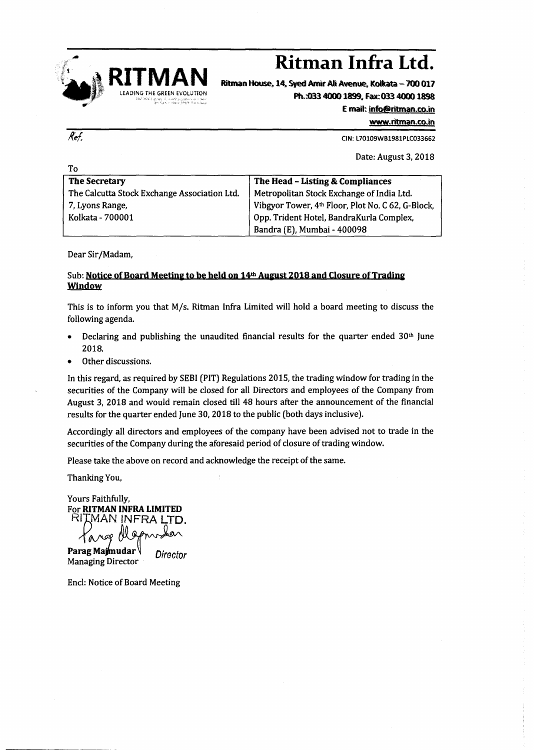

## **RITMAN Ritman Infra Ltd.**

Ritman House, 14, Syed Amir Ali Avenue, Kolkata - 700 017 Ph.:033 4000 1899. Fax: 033 4000 1898

Email: [info@ritman.co.in](mailto:info@ritman.co.in)

www.ritman.co.in

CIN: L70109VVB1981PLC033662

Date: August 3,2018

| .                                            |                                                   |
|----------------------------------------------|---------------------------------------------------|
| <b>The Secretary</b>                         | The Head - Listing & Compliances                  |
| The Calcutta Stock Exchange Association Ltd. | Metropolitan Stock Exchange of India Ltd.         |
| 7, Lyons Range,                              | Vibgyor Tower, 4th Floor, Plot No. C 62, G-Block, |
| Kolkata - 700001                             | Opp. Trident Hotel, BandraKurla Complex,          |
|                                              | Bandra (E), Mumbai - 400098                       |

Dear Sir*IMadam,*

## Sub: Notice of Board Meeting to be held on 14th August 2018 and Closure of Trading Window

This is to inform you that *Mis.* Ritman Infra Limited will hold a board meeting to discuss the following agenda.

- Declaring and publishing the unaudited financial results for the quarter ended  $30<sup>th</sup>$  June 2018.
- Other discussions.

In this regard, as required by SEBI (PIT) Regulations 2015, the trading window for trading in the securities of the Company will be closed for all Directors and employees of the Company from August 3, 2018 and would remain closed till 48 hours after the announcement of the financial results for the quarter ended June 30, 201S to the public (both days inclusive).

Accordingly all directors and employees of the company have been advised not to trade in the securities of the Company during the aforesaid period of closure of trading window.

Please take the above on record and acknowledge the receipt of the same.

Thanking You,

Yours Faithfully, For RITMAN INFRA LIMITED RITMAN INFRA LTD. ka∧

Targe Wapnister Managing Director

Encl: Notice of Board Meeting

Ref.

T<sub>o</sub>